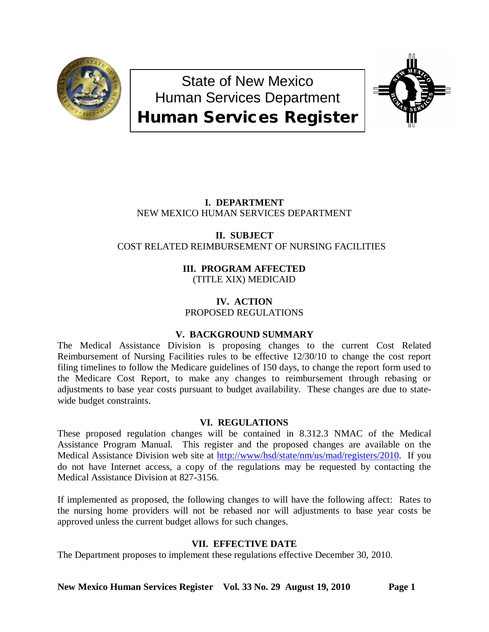

State of New Mexico Human Services Department Human Services Register



# **I. DEPARTMENT** NEW MEXICO HUMAN SERVICES DEPARTMENT

## **II. SUBJECT** COST RELATED REIMBURSEMENT OF NURSING FACILITIES

**III. PROGRAM AFFECTED** (TITLE XIX) MEDICAID

**IV. ACTION** PROPOSED REGULATIONS

# **V. BACKGROUND SUMMARY**

The Medical Assistance Division is proposing changes to the current Cost Related Reimbursement of Nursing Facilities rules to be effective 12/30/10 to change the cost report filing timelines to follow the Medicare guidelines of 150 days, to change the report form used to the Medicare Cost Report, to make any changes to reimbursement through rebasing or adjustments to base year costs pursuant to budget availability. These changes are due to statewide budget constraints.

# **VI. REGULATIONS**

These proposed regulation changes will be contained in 8.312.3 NMAC of the Medical Assistance Program Manual. This register and the proposed changes are available on the Medical Assistance Division web site at [http://www/hsd/state/nm/us/mad/registers/2010.](http://www/hsd/state/nm/us/mad/registers/2010) If you do not have Internet access, a copy of the regulations may be requested by contacting the Medical Assistance Division at 827-3156.

If implemented as proposed, the following changes to will have the following affect: Rates to the nursing home providers will not be rebased nor will adjustments to base year costs be approved unless the current budget allows for such changes.

# **VII. EFFECTIVE DATE**

The Department proposes to implement these regulations effective December 30, 2010.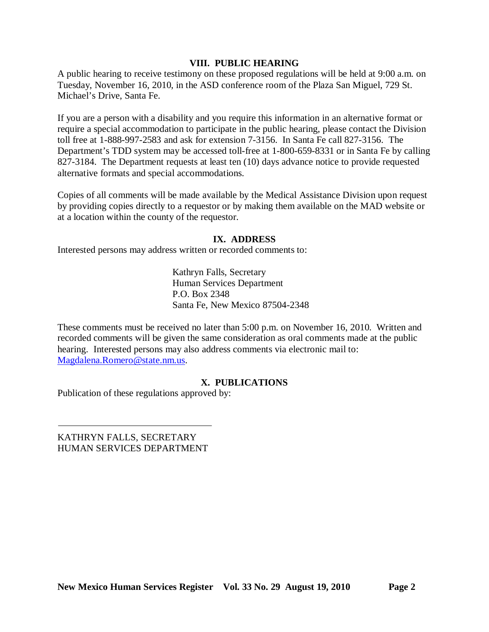## **VIII. PUBLIC HEARING**

A public hearing to receive testimony on these proposed regulations will be held at 9:00 a.m. on Tuesday, November 16, 2010, in the ASD conference room of the Plaza San Miguel, 729 St. Michael's Drive, Santa Fe.

If you are a person with a disability and you require this information in an alternative format or require a special accommodation to participate in the public hearing, please contact the Division toll free at 1-888-997-2583 and ask for extension 7-3156. In Santa Fe call 827-3156. The Department's TDD system may be accessed toll-free at 1-800-659-8331 or in Santa Fe by calling 827-3184. The Department requests at least ten (10) days advance notice to provide requested alternative formats and special accommodations.

Copies of all comments will be made available by the Medical Assistance Division upon request by providing copies directly to a requestor or by making them available on the MAD website or at a location within the county of the requestor.

## **IX. ADDRESS**

Interested persons may address written or recorded comments to:

Kathryn Falls, Secretary Human Services Department P.O. Box 2348 Santa Fe, New Mexico 87504-2348

These comments must be received no later than 5:00 p.m. on November 16, 2010. Written and recorded comments will be given the same consideration as oral comments made at the public hearing. Interested persons may also address comments via electronic mail to: [Magdalena.Romero@state.nm.us.](mailto:Magdalena.Romero@state.nm.us)

## **X. PUBLICATIONS**

Publication of these regulations approved by:

KATHRYN FALLS, SECRETARY HUMAN SERVICES DEPARTMENT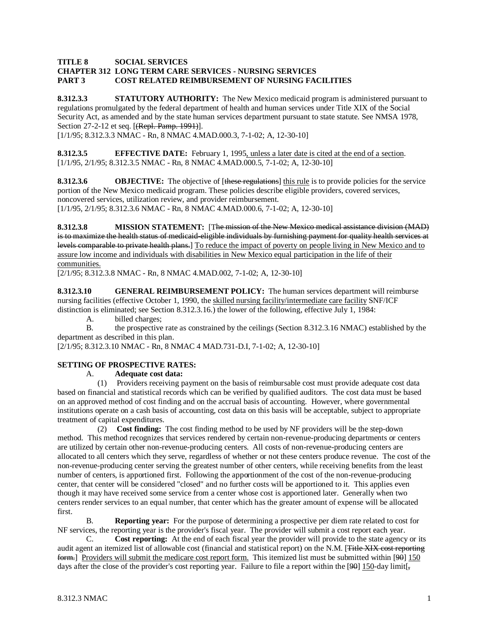#### **TITLE 8 SOCIAL SERVICES CHAPTER 312 LONG TERM CARE SERVICES - NURSING SERVICES PART 3 COST RELATED REIMBURSEMENT OF NURSING FACILITIES**

**8.312.3.3 STATUTORY AUTHORITY:** The New Mexico medicaid program is administered pursuant to regulations promulgated by the federal department of health and human services under Title XIX of the Social Security Act, as amended and by the state human services department pursuant to state statute. See NMSA 1978, Section 27-2-12 et seq. [(Repl. Pamp. 1991)].

[1/1/95; 8.312.3.3 NMAC - Rn, 8 NMAC 4.MAD.000.3, 7-1-02; A, 12-30-10]

**8.312.3.5 EFFECTIVE DATE:** February 1, 1995, unless a later date is cited at the end of a section. [1/1/95, 2/1/95; 8.312.3.5 NMAC - Rn, 8 NMAC 4.MAD.000.5, 7-1-02; A, 12-30-10]

**8.312.3.6 OBJECTIVE:** The objective of [these regulations] this rule is to provide policies for the service [1/1/95, 2/1/95; 8.312.3.6 NMAC - Rn, 8 NMAC 4.MAD.000.6, 7-1-02; A, 12-30-10] portion of the New Mexico medicaid program. These policies describe eligible providers, covered services, noncovered services, utilization review, and provider reimbursement.

**8.312.3.8 MISSION STATEMENT:** [The mission of the New Mexico medical assistance division (MAD) is to maximize the health status of medicaid eligible individuals by furnishing payment for quality health services at levels comparable to private health plans.] To reduce the impact of poverty on people living in New Mexico and to assure low income and individuals with disabilities in New Mexico equal participation in the life of their communities.

[2/1/95; 8.312.3.8 NMAC - Rn, 8 NMAC 4.MAD.002, 7-1-02; A, 12-30-10]

**8.312.3.10 GENERAL REIMBURSEMENT POLICY:** The human services department will reimburse nursing facilities (effective October 1, 1990, the skilled nursing facility/intermediate care facility SNF/ICF distinction is eliminated; see Section 8.312.3.16.) the lower of the following, effective July 1, 1984:

A. billed charges;

B. the prospective rate as constrained by the ceilings (Section 8.312.3.16 NMAC) established by the department as described in this plan.

[2/1/95; 8.312.3.10 NMAC - Rn, 8 NMAC 4 MAD.731-D.I, 7-1-02; A, 12-30-10]

### **SETTING OF PROSPECTIVE RATES:**

A. **Adequate cost data:**

 (1) Providers receiving payment on the basis of reimbursable cost must provide adequate cost data based on financial and statistical records which can be verified by qualified auditors. The cost data must be based on an approved method of cost finding and on the accrual basis of accounting. However, where governmental institutions operate on a cash basis of accounting, cost data on this basis will be acceptable, subject to appropriate treatment of capital expenditures.

 (2) **Cost finding:** The cost finding method to be used by NF providers will be the step-down method. This method recognizes that services rendered by certain non-revenue-producing departments or centers are utilized by certain other non-revenue-producing centers. All costs of non-revenue-producing centers are allocated to all centers which they serve, regardless of whether or not these centers produce revenue. The cost of the non-revenue-producing center serving the greatest number of other centers, while receiving benefits from the least number of centers, is apportioned first. Following the apportionment of the cost of the non-revenue-producing center, that center will be considered "closed" and no further costs will be apportioned to it. This applies even though it may have received some service from a center whose cost is apportioned later. Generally when two centers render services to an equal number, that center which has the greater amount of expense will be allocated first.

B. **Reporting year:** For the purpose of determining a prospective per diem rate related to cost for NF services, the reporting year is the provider's fiscal year. The provider will submit a cost report each year.

C. **Cost reporting:** At the end of each fiscal year the provider will provide to the state agency or its audit agent an itemized list of allowable cost (financial and statistical report) on the N.M. [Title XIX cost reporting form.] Providers will submit the medicare cost report form. This itemized list must be submitted within [90] 150 days after the close of the provider's cost reporting year. Failure to file a report within the [90]  $150$ -day limit[,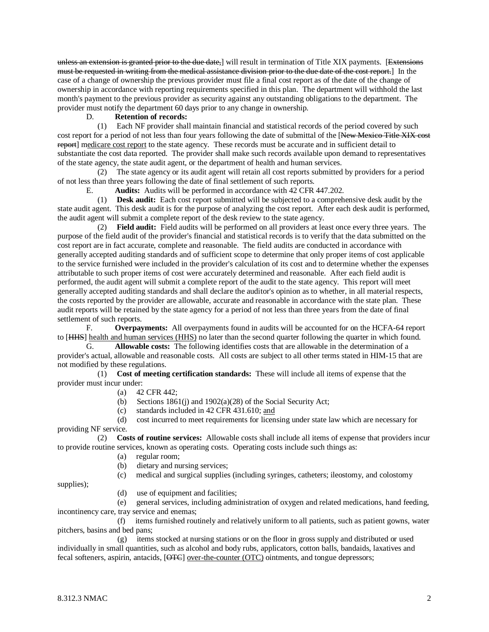unless an extension is granted prior to the due date,] will result in termination of Title XIX payments. [Extensions must be requested in writing from the medical assistance division prior to the due date of the cost report. ] In the case of a change of ownership the previous provider must file a final cost report as of the date of the change of ownership in accordance with reporting requirements specified in this plan. The department will withhold the last month's payment to the previous provider as security against any outstanding obligations to the department. The provider must notify the department 60 days prior to any change in ownership.

### D. **Retention of records:**

 (1) Each NF provider shall maintain financial and statistical records of the period covered by such cost report for a period of not less than four years following the date of submittal of the [New Mexico Title XIX cost report] medicare cost report to the state agency. These records must be accurate and in sufficient detail to substantiate the cost data reported. The provider shall make such records available upon demand to representatives of the state agency, the state audit agent, or the department of health and human services.

 (2) The state agency or its audit agent will retain all cost reports submitted by providers for a period of not less than three years following the date of final settlement of such reports.

E. **Audits:** Audits will be performed in accordance with 42 CFR 447.202.

 (1) **Desk audit:** Each cost report submitted will be subjected to a comprehensive desk audit by the state audit agent. This desk audit is for the purpose of analyzing the cost report. After each desk audit is performed, the audit agent will submit a complete report of the desk review to the state agency.

 (2) **Field audit:** Field audits will be performed on all providers at least once every three years. The purpose of the field audit of the provider's financial and statistical records is to verify that the data submitted on the cost report are in fact accurate, complete and reasonable. The field audits are conducted in accordance with generally accepted auditing standards and of sufficient scope to determine that only proper items of cost applicable to the service furnished were included in the provider's calculation of its cost and to determine whether the expenses attributable to such proper items of cost were accurately determined and reasonable. After each field audit is performed, the audit agent will submit a complete report of the audit to the state agency. This report will meet generally accepted auditing standards and shall declare the auditor's opinion as to whether, in all material respects, the costs reported by the provider are allowable, accurate and reasonable in accordance with the state plan. These audit reports will be retained by the state agency for a period of not less than three years from the date of final settlement of such reports.

F. **Overpayments:** All overpayments found in audits will be accounted for on the HCFA-64 report to [HHS] health and human services (HHS) no later than the second quarter following the quarter in which found.

G. **Allowable costs:** The following identifies costs that are allowable in the determination of a provider's actual, allowable and reasonable costs. All costs are subject to all other terms stated in HIM-15 that are not modified by these regulations.

 (1) **Cost of meeting certification standards:** These will include all items of expense that the provider must incur under:

- (a) 42 CFR 442;
- (b) Sections 1861(j) and 1902(a)(28) of the Social Security Act;
- (c) standards included in  $42$  CFR  $431.610$ ; and

 (d) cost incurred to meet requirements for licensing under state law which are necessary for providing NF service.

 (2) **Costs of routine services:** Allowable costs shall include all items of expense that providers incur to provide routine services, known as operating costs. Operating costs include such things as:

- (a) regular room;
- (b) dietary and nursing services;
- (c) medical and surgical supplies (including syringes, catheters; ileostomy, and colostomy

supplies);

(d) use of equipment and facilities;

 (e) general services, including administration of oxygen and related medications, hand feeding, incontinency care, tray service and enemas;

 (f) items furnished routinely and relatively uniform to all patients, such as patient gowns, water pitchers, basins and bed pans;

 (g) items stocked at nursing stations or on the floor in gross supply and distributed or used individually in small quantities, such as alcohol and body rubs, applicators, cotton balls, bandaids, laxatives and fecal softeners, aspirin, antacids, [OTC] over-the-counter (OTC) ointments, and tongue depressors;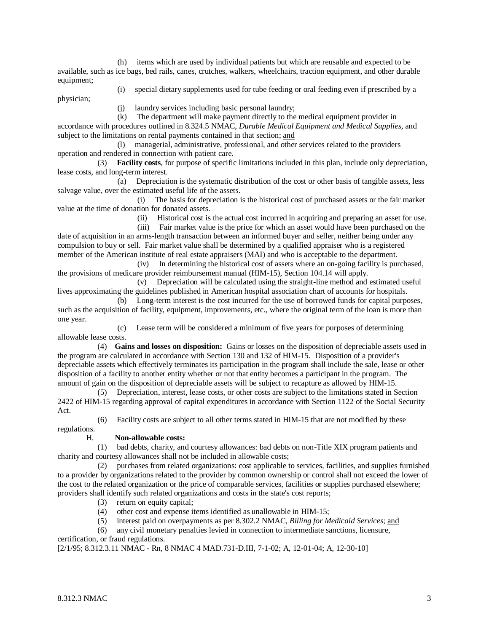(h) items which are used by individual patients but which are reusable and expected to be available, such as ice bags, bed rails, canes, crutches, walkers, wheelchairs, traction equipment, and other durable equipment;

physician;

(i) special dietary supplements used for tube feeding or oral feeding even if prescribed by a

(j) laundry services including basic personal laundry;

 (k) The department will make payment directly to the medical equipment provider in accordance with procedures outlined in 8.324.5 NMAC, *Durable Medical Equipment and Medical Supplies*, and subject to the limitations on rental payments contained in that section; and

 (l) managerial, administrative, professional, and other services related to the providers operation and rendered in connection with patient care.

 (3) **Facility costs**, for purpose of specific limitations included in this plan, include only depreciation, lease costs, and long-term interest.

 (a) Depreciation is the systematic distribution of the cost or other basis of tangible assets, less salvage value, over the estimated useful life of the assets.

 (i) The basis for depreciation is the historical cost of purchased assets or the fair market value at the time of donation for donated assets.

(ii) Historical cost is the actual cost incurred in acquiring and preparing an asset for use.

(iii) Fair market value is the price for which an asset would have been purchased on the date of acquisition in an arms-length transaction between an informed buyer and seller, neither being under any compulsion to buy or sell. Fair market value shall be determined by a qualified appraiser who is a registered member of the American institute of real estate appraisers (MAI) and who is acceptable to the department.

 (iv) In determining the historical cost of assets where an on-going facility is purchased, the provisions of medicare provider reimbursement manual (HIM-15), Section 104.14 will apply.

 (v) Depreciation will be calculated using the straight-line method and estimated useful lives approximating the guidelines published in American hospital association chart of accounts for hospitals.

 (b) Long-term interest is the cost incurred for the use of borrowed funds for capital purposes, such as the acquisition of facility, equipment, improvements, etc., where the original term of the loan is more than one year.

 (c) Lease term will be considered a minimum of five years for purposes of determining allowable lease costs.

 (4) **Gains and losses on disposition:** Gains or losses on the disposition of depreciable assets used in the program are calculated in accordance with Section 130 and 132 of HIM-15. Disposition of a provider's depreciable assets which effectively terminates its participation in the program shall include the sale, lease or other disposition of a facility to another entity whether or not that entity becomes a participant in the program. The amount of gain on the disposition of depreciable assets will be subject to recapture as allowed by HIM-15.

 (5) Depreciation, interest, lease costs, or other costs are subject to the limitations stated in Section 2422 of HIM-15 regarding approval of capital expenditures in accordance with Section 1122 of the Social Security Act.

(6) Facility costs are subject to all other terms stated in HIM-15 that are not modified by these

regulations.

### H. **Non-allowable costs:**

 (1) bad debts, charity, and courtesy allowances: bad debts on non-Title XIX program patients and charity and courtesy allowances shall not be included in allowable costs;

 (2) purchases from related organizations: cost applicable to services, facilities, and supplies furnished to a provider by organizations related to the provider by common ownership or control shall not exceed the lower of the cost to the related organization or the price of comparable services, facilities or supplies purchased elsewhere; providers shall identify such related organizations and costs in the state's cost reports;

- (3) return on equity capital;
- (4) other cost and expense items identified as unallowable in HIM-15;
- (5) interest paid on overpayments as per 8.302.2 NMAC, *Billing for Medicaid Services*; and

(6) any civil monetary penalties levied in connection to intermediate sanctions, licensure,

certification, or fraud regulations.

[2/1/95; 8.312.3.11 NMAC - Rn, 8 NMAC 4 MAD.731-D.III, 7-1-02; A, 12-01-04; A, 12-30-10]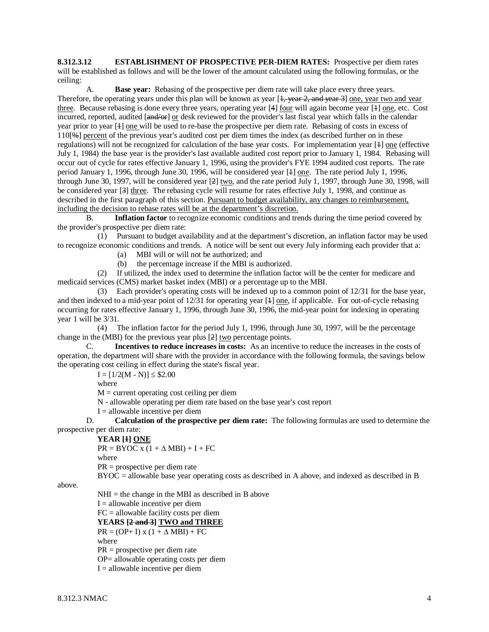**8.312.3.12 ESTABLISHMENT OF PROSPECTIVE PER-DIEM RATES:** Prospective per diem rates will be established as follows and will be the lower of the amount calculated using the following formulas, or the ceiling:

A. **Base year:** Rebasing of the prospective per diem rate will take place every three years. Therefore, the operating years under this plan will be known as year  $[1, \text{ year } 2, \text{ and year } 3]$  one, year two and year three. Because rebasing is done every three years, operating year [4] four will again become year [1] one, etc. Cost incurred, reported, audited [and/or] or desk reviewed for the provider's last fiscal year which falls in the calendar year prior to year [1] one will be used to re-base the prospective per diem rate. Rebasing of costs in excess of 110[%] percent of the previous year's audited cost per diem times the index (as described further on in these regulations) will not be recognized for calculation of the base year costs. For implementation year [1] one (effective July 1, 1984) the base year is the provider's last available audited cost report prior to January 1, 1984. Rebasing will occur out of cycle for rates effective January 1, 1996, using the provider's FYE 1994 audited cost reports. The rate period January 1, 1996, through June 30, 1996, will be considered year [1] one. The rate period July 1, 1996, through June 30, 1997, will be considered year [2] two, and the rate period July 1, 1997, through June 30, 1998, will be considered year [3] three. The rebasing cycle will resume for rates effective July 1, 1998, and continue as described in the first paragraph of this section. Pursuant to budget availability, any changes to reimbursement, including the decision to rebase rates will be at the department's discretion.

B. **Inflation factor** to recognize economic conditions and trends during the time period covered by the provider's prospective per diem rate:

 (1) Pursuant to budget availability and at the department's discretion, an inflation factor may be used to recognize economic conditions and trends. A notice will be sent out every July informing each provider that a:

(a) MBI will or will not be authorized; and

(b) the percentage increase if the MBI is authorized.

 (2) If utilized, the index used to determine the inflation factor will be the center for medicare and medicaid services (CMS) market basket index (MBI) or a percentage up to the MBI.

 (3) Each provider's operating costs will be indexed up to a common point of 12/31 for the base year, and then indexed to a mid-year point of  $12/31$  for operating year  $[4]$  one, if applicable. For out-of-cycle rebasing occurring for rates effective January 1, 1996, through June 30, 1996, the mid-year point for indexing in operating year 1 will be 3/31.

 (4) The inflation factor for the period July 1, 1996, through June 30, 1997, will be the percentage change in the (MBI) for the previous year plus [2] two percentage points.

C. **Incentives to reduce increases in costs:** As an incentive to reduce the increases in the costs of operation, the department will share with the provider in accordance with the following formula, the savings below the operating cost ceiling in effect during the state's fiscal year.

 $I = [1/2(M - N)] \leq $2.00$ 

where

 $M =$  current operating cost ceiling per diem

N - allowable operating per diem rate based on the base year's cost report

 $I =$  allowable incentive per diem

D. **Calculation of the prospective per diem rate:** The following formulas are used to determine the prospective per diem rate:

### **YEAR [1] ONE**

 $PR = BYOC$  x (1 +  $\triangle$  MBI) + I + FC

where

PR = prospective per diem rate

BYOC = allowable base year operating costs as described in A above, and indexed as described in B

above.

 $NHI =$  the change in the MBI as described in B above

 $I =$  allowable incentive per diem

FC = allowable facility costs per diem

**YEARS [2 and 3] TWO and THREE**

 $PR = (OP + I)$  x  $(1 + \Delta MBI) + FC$ 

where

PR = prospective per diem rate

OP= allowable operating costs per diem

 $I =$  allowable incentive per diem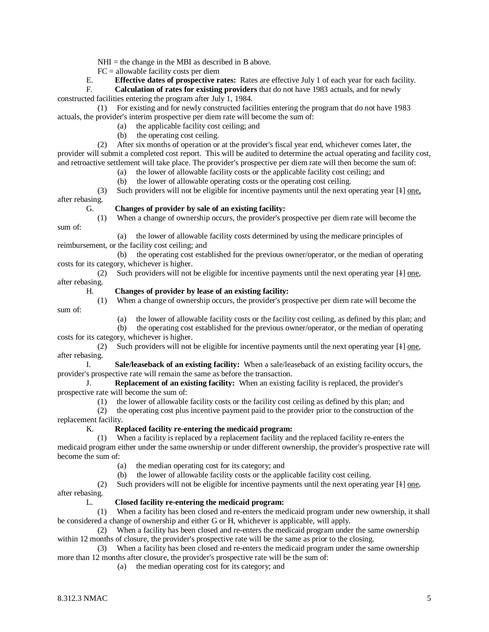$NHI =$  the change in the MBI as described in B above.

 $FC =$  allowable facility costs per diem

E. **Effective dates of prospective rates:** Rates are effective July 1 of each year for each facility.

F. **Calculation of rates for existing providers** that do not have 1983 actuals, and for newly constructed facilities entering the program after July 1, 1984.

 (1) For existing and for newly constructed facilities entering the program that do not have 1983 actuals, the provider's interim prospective per diem rate will become the sum of:

(a) the applicable facility cost ceiling; and

(b) the operating cost ceiling.

 (2) After six months of operation or at the provider's fiscal year end, whichever comes later, the provider will submit a completed cost report. This will be audited to determine the actual operating and facility cost, and retroactive settlement will take place. The provider's prospective per diem rate will then become the sum of:

(a) the lower of allowable facility costs or the applicable facility cost ceiling; and

(b) the lower of allowable operating costs or the operating cost ceiling.

 (3) Such providers will not be eligible for incentive payments until the next operating year [1] one, after rebasing.

#### G. **Changes of provider by sale of an existing facility:**

(1) When a change of ownership occurs, the provider's prospective per diem rate will become the

 (a) the lower of allowable facility costs determined by using the medicare principles of reimbursement, or the facility cost ceiling; and

 (b) the operating cost established for the previous owner/operator, or the median of operating costs for its category, whichever is higher.

(2) Such providers will not be eligible for incentive payments until the next operating year  $[4]$  one, after rebasing.

#### H. **Changes of provider by lease of an existing facility:**

 (1) When a change of ownership occurs, the provider's prospective per diem rate will become the sum of:

(a) the lower of allowable facility costs or the facility cost ceiling, as defined by this plan; and

 (b) the operating cost established for the previous owner/operator, or the median of operating costs for its category, whichever is higher.

(2) Such providers will not be eligible for incentive payments until the next operating year  $[4]$  one, after rebasing.

I. **Sale/leaseback of an existing facility:** When a sale/leaseback of an existing facility occurs, the provider's prospective rate will remain the same as before the transaction.

J. **Replacement of an existing facility:** When an existing facility is replaced, the provider's prospective rate will become the sum of:

(1) the lower of allowable facility costs or the facility cost ceiling as defined by this plan; and

 (2) the operating cost plus incentive payment paid to the provider prior to the construction of the replacement facility.

### K. **Replaced facility re-entering the medicaid program:**

When a facility is replaced by a replacement facility and the replaced facility re-enters the medicaid program either under the same ownership or under different ownership, the provider's prospective rate will become the sum of:

(a) the median operating cost for its category; and

(b) the lower of allowable facility costs or the applicable facility cost ceiling.

(2) Such providers will not be eligible for incentive payments until the next operating year  $[4]$  one, after rebasing.

#### L. **Closed facility re-entering the medicaid program:**

 (1) When a facility has been closed and re-enters the medicaid program under new ownership, it shall be considered a change of ownership and either G or H, whichever is applicable, will apply.

 (2) When a facility has been closed and re-enters the medicaid program under the same ownership within 12 months of closure, the provider's prospective rate will be the same as prior to the closing.

 (3) When a facility has been closed and re-enters the medicaid program under the same ownership more than 12 months after closure, the provider's prospective rate will be the sum of:

(a) the median operating cost for its category; and

sum of: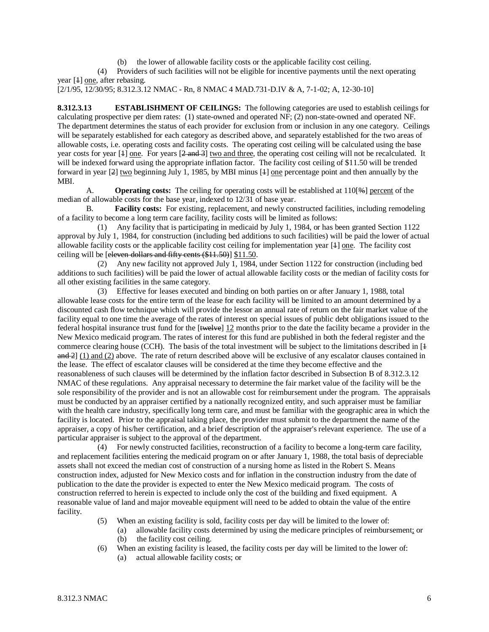(b) the lower of allowable facility costs or the applicable facility cost ceiling.

 (4) Providers of such facilities will not be eligible for incentive payments until the next operating year [1] one, after rebasing.

```
[2/1/95, 12/30/95; 8.312.3.12 NMAC - Rn, 8 NMAC 4 MAD.731-D.IV & A, 7-1-02; A, 12-30-10]
```
**8.312.3.13 ESTABLISHMENT OF CEILINGS:** The following categories are used to establish ceilings for calculating prospective per diem rates: (1) state-owned and operated NF; (2) non-state-owned and operated NF. The department determines the status of each provider for exclusion from or inclusion in any one category. Ceilings will be separately established for each category as described above, and separately established for the two areas of allowable costs, i.e. operating costs and facility costs. The operating cost ceiling will be calculated using the base year costs for year  $[4]$  one. For years  $[2 \text{ and } 3]$  two and three, the operating cost ceiling will not be recalculated. It will be indexed forward using the appropriate inflation factor. The facility cost ceiling of \$11.50 will be trended forward in year [2] two beginning July 1, 1985, by MBI minus [4] one percentage point and then annually by the MBI.

A. **Operating costs:** The ceiling for operating costs will be established at 110[\Re estable of the median of allowable costs for the base year, indexed to 12/31 of base year.

B. **Facility costs:** For existing, replacement, and newly constructed facilities, including remodeling of a facility to become a long term care facility, facility costs will be limited as follows:

 (1) Any facility that is participating in medicaid by July 1, 1984, or has been granted Section 1122 approval by July 1, 1984, for construction (including bed additions to such facilities) will be paid the lower of actual allowable facility costs or the applicable facility cost ceiling for implementation year [1] one. The facility cost ceiling will be [eleven dollars and fifty cents (\$11.50)] \$11.50.

 (2) Any new facility not approved July 1, 1984, under Section 1122 for construction (including bed additions to such facilities) will be paid the lower of actual allowable facility costs or the median of facility costs for all other existing facilities in the same category.

 (3) Effective for leases executed and binding on both parties on or after January 1, 1988, total allowable lease costs for the entire term of the lease for each facility will be limited to an amount determined by a discounted cash flow technique which will provide the lessor an annual rate of return on the fair market value of the facility equal to one time the average of the rates of interest on special issues of public debt obligations issued to the federal hospital insurance trust fund for the  $[$ twelve $]$  12 months prior to the date the facility became a provider in the New Mexico medicaid program. The rates of interest for this fund are published in both the federal register and the commerce clearing house (CCH). The basis of the total investment will be subject to the limitations described in [ $\pm$ ]  $\frac{and 2}{1}$  (1) and (2) above. The rate of return described above will be exclusive of any escalator clauses contained in the lease. The effect of escalator clauses will be considered at the time they become effective and the reasonableness of such clauses will be determined by the inflation factor described in Subsection B of 8.312.3.12 NMAC of these regulations. Any appraisal necessary to determine the fair market value of the facility will be the sole responsibility of the provider and is not an allowable cost for reimbursement under the program. The appraisals must be conducted by an appraiser certified by a nationally recognized entity, and such appraiser must be familiar with the health care industry, specifically long term care, and must be familiar with the geographic area in which the facility is located. Prior to the appraisal taking place, the provider must submit to the department the name of the appraiser, a copy of his/her certification, and a brief description of the appraiser's relevant experience. The use of a particular appraiser is subject to the approval of the department.

 (4) For newly constructed facilities, reconstruction of a facility to become a long-term care facility, and replacement facilities entering the medicaid program on or after January 1, 1988, the total basis of depreciable assets shall not exceed the median cost of construction of a nursing home as listed in the Robert S. Means construction index, adjusted for New Mexico costs and for inflation in the construction industry from the date of publication to the date the provider is expected to enter the New Mexico medicaid program. The costs of construction referred to herein is expected to include only the cost of the building and fixed equipment. A reasonable value of land and major moveable equipment will need to be added to obtain the value of the entire facility.

- (5) When an existing facility is sold, facility costs per day will be limited to the lower of:
	- (a) allowable facility costs determined by using the medicare principles of reimbursement; or
	- (b) the facility cost ceiling.
- (6) When an existing facility is leased, the facility costs per day will be limited to the lower of:
	- (a) actual allowable facility costs; or